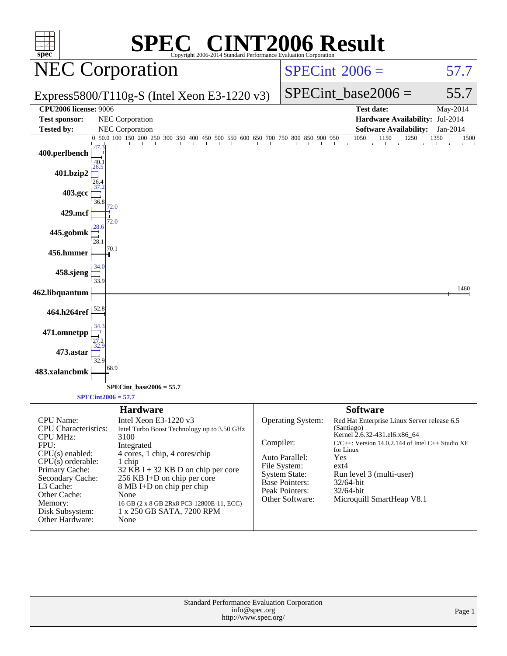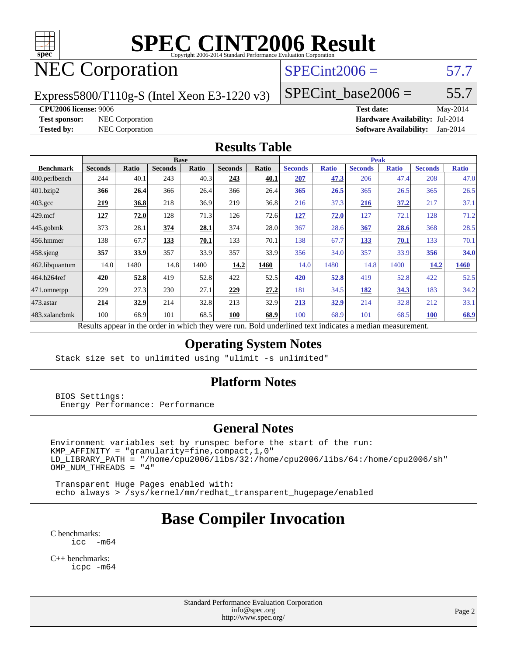

### NEC Corporation

#### $SPECint2006 = 57.7$  $SPECint2006 = 57.7$

Express5800/T110g-S (Intel Xeon E3-1220 v3)

 $SPECTnt\_base2006 = 55.7$ 

#### **[CPU2006 license:](http://www.spec.org/auto/cpu2006/Docs/result-fields.html#CPU2006license)** 9006 **[Test date:](http://www.spec.org/auto/cpu2006/Docs/result-fields.html#Testdate)** May-2014

**[Test sponsor:](http://www.spec.org/auto/cpu2006/Docs/result-fields.html#Testsponsor)** NEC Corporation **[Hardware Availability:](http://www.spec.org/auto/cpu2006/Docs/result-fields.html#HardwareAvailability)** Jul-2014 **[Tested by:](http://www.spec.org/auto/cpu2006/Docs/result-fields.html#Testedby)** NEC Corporation **[Software Availability:](http://www.spec.org/auto/cpu2006/Docs/result-fields.html#SoftwareAvailability)** Jan-2014

#### **[Results Table](http://www.spec.org/auto/cpu2006/Docs/result-fields.html#ResultsTable)**

|                    | <b>Base</b>                                                                                              |       |                |       |                |       | <b>Peak</b>    |              |                |              |                |              |
|--------------------|----------------------------------------------------------------------------------------------------------|-------|----------------|-------|----------------|-------|----------------|--------------|----------------|--------------|----------------|--------------|
| <b>Benchmark</b>   | <b>Seconds</b>                                                                                           | Ratio | <b>Seconds</b> | Ratio | <b>Seconds</b> | Ratio | <b>Seconds</b> | <b>Ratio</b> | <b>Seconds</b> | <b>Ratio</b> | <b>Seconds</b> | <b>Ratio</b> |
| 400.perlbench      | 244                                                                                                      | 40.1  | 243            | 40.3  | 243            | 40.1  | 207            | 47.3         | 206            | 47.4         | 208            | 47.0         |
| 401.bzip2          | 366                                                                                                      | 26.4  | 366            | 26.4  | 366            | 26.4  | 365            | 26.5         | 365            | 26.5         | 365            | 26.5         |
| $403.\mathrm{gcc}$ | 219                                                                                                      | 36.8  | 218            | 36.9  | 219            | 36.8  | 216            | 37.3         | 216            | 37.2         | 217            | 37.1         |
| $429$ .mcf         | 127                                                                                                      | 72.0  | 128            | 71.3  | 126            | 72.6  | <u>127</u>     | 72.0         | 127            | 72.1         | 128            | 71.2         |
| $445$ .gobmk       | 373                                                                                                      | 28.1  | 374            | 28.1  | 374            | 28.0  | 367            | 28.6         | 367            | 28.6         | 368            | 28.5         |
| $456.$ hmmer       | 138                                                                                                      | 67.7  | 133            | 70.1  | 133            | 70.1  | 138            | 67.7         | 133            | 70.1         | 133            | 70.1         |
| $458$ .sjeng       | 357                                                                                                      | 33.9  | 357            | 33.9  | 357            | 33.9  | 356            | 34.0         | 357            | 33.9         | 356            | 34.0         |
| 462.libquantum     | 14.0                                                                                                     | 1480  | 14.8           | 1400  | 14.2           | 1460  | 14.0           | 1480         | 14.8           | 1400         | 14.2           | <b>1460</b>  |
| 464.h264ref        | 420                                                                                                      | 52.8  | 419            | 52.8  | 422            | 52.5  | 420            | 52.8         | 419            | 52.8         | 422            | 52.5         |
| 471.omnetpp        | 229                                                                                                      | 27.3  | 230            | 27.1  | 229            | 27.2  | 181            | 34.5         | 182            | 34.3         | 183            | 34.2         |
| 473.astar          | 214                                                                                                      | 32.9  | 214            | 32.8  | 213            | 32.9  | 213            | 32.9         | 214            | 32.8         | 212            | 33.1         |
| 483.xalancbmk      | 100                                                                                                      | 68.9  | 101            | 68.5  | 100            | 68.9  | 100            | 68.9         | 101            | 68.5         | <b>100</b>     | 68.9         |
|                    | Results appear in the order in which they were run. Bold underlined text indicates a median measurement. |       |                |       |                |       |                |              |                |              |                |              |

#### **[Operating System Notes](http://www.spec.org/auto/cpu2006/Docs/result-fields.html#OperatingSystemNotes)**

Stack size set to unlimited using "ulimit -s unlimited"

#### **[Platform Notes](http://www.spec.org/auto/cpu2006/Docs/result-fields.html#PlatformNotes)**

 BIOS Settings: Energy Performance: Performance

#### **[General Notes](http://www.spec.org/auto/cpu2006/Docs/result-fields.html#GeneralNotes)**

Environment variables set by runspec before the start of the run: KMP\_AFFINITY = "granularity=fine,compact,1,0" LD\_LIBRARY\_PATH = "/home/cpu2006/libs/32:/home/cpu2006/libs/64:/home/cpu2006/sh"  $OMP_NUM_THREADS = "4"$ 

 Transparent Huge Pages enabled with: echo always > /sys/kernel/mm/redhat\_transparent\_hugepage/enabled

### **[Base Compiler Invocation](http://www.spec.org/auto/cpu2006/Docs/result-fields.html#BaseCompilerInvocation)**

[C benchmarks](http://www.spec.org/auto/cpu2006/Docs/result-fields.html#Cbenchmarks): [icc -m64](http://www.spec.org/cpu2006/results/res2014q3/cpu2006-20140806-30786.flags.html#user_CCbase_intel_icc_64bit_f346026e86af2a669e726fe758c88044)

[C++ benchmarks:](http://www.spec.org/auto/cpu2006/Docs/result-fields.html#CXXbenchmarks) [icpc -m64](http://www.spec.org/cpu2006/results/res2014q3/cpu2006-20140806-30786.flags.html#user_CXXbase_intel_icpc_64bit_fc66a5337ce925472a5c54ad6a0de310)

> Standard Performance Evaluation Corporation [info@spec.org](mailto:info@spec.org) <http://www.spec.org/>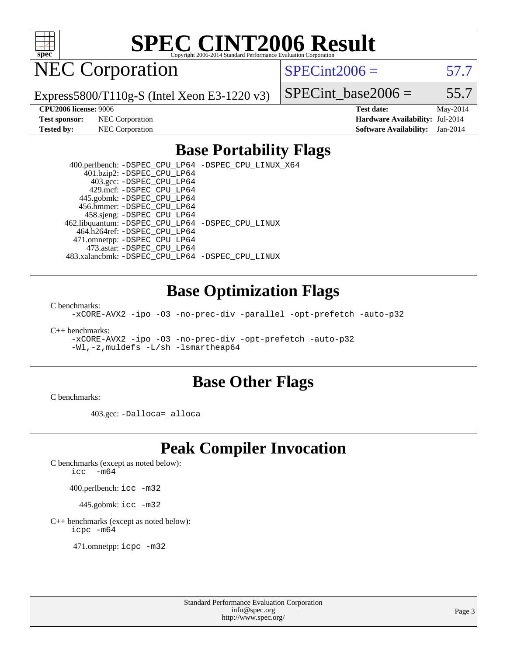

NEC Corporation

 $SPECint2006 = 57.7$  $SPECint2006 = 57.7$ 

Express5800/T110g-S (Intel Xeon E3-1220 v3)

SPECint base2006 =  $55.7$ 

**[CPU2006 license:](http://www.spec.org/auto/cpu2006/Docs/result-fields.html#CPU2006license)** 9006 **[Test date:](http://www.spec.org/auto/cpu2006/Docs/result-fields.html#Testdate)** May-2014 **[Test sponsor:](http://www.spec.org/auto/cpu2006/Docs/result-fields.html#Testsponsor)** NEC Corporation **[Hardware Availability:](http://www.spec.org/auto/cpu2006/Docs/result-fields.html#HardwareAvailability)** Jul-2014 **[Tested by:](http://www.spec.org/auto/cpu2006/Docs/result-fields.html#Testedby)** NEC Corporation **[Software Availability:](http://www.spec.org/auto/cpu2006/Docs/result-fields.html#SoftwareAvailability)** Jan-2014

#### **[Base Portability Flags](http://www.spec.org/auto/cpu2006/Docs/result-fields.html#BasePortabilityFlags)**

 400.perlbench: [-DSPEC\\_CPU\\_LP64](http://www.spec.org/cpu2006/results/res2014q3/cpu2006-20140806-30786.flags.html#b400.perlbench_basePORTABILITY_DSPEC_CPU_LP64) [-DSPEC\\_CPU\\_LINUX\\_X64](http://www.spec.org/cpu2006/results/res2014q3/cpu2006-20140806-30786.flags.html#b400.perlbench_baseCPORTABILITY_DSPEC_CPU_LINUX_X64) 401.bzip2: [-DSPEC\\_CPU\\_LP64](http://www.spec.org/cpu2006/results/res2014q3/cpu2006-20140806-30786.flags.html#suite_basePORTABILITY401_bzip2_DSPEC_CPU_LP64) 403.gcc: [-DSPEC\\_CPU\\_LP64](http://www.spec.org/cpu2006/results/res2014q3/cpu2006-20140806-30786.flags.html#suite_basePORTABILITY403_gcc_DSPEC_CPU_LP64) 429.mcf: [-DSPEC\\_CPU\\_LP64](http://www.spec.org/cpu2006/results/res2014q3/cpu2006-20140806-30786.flags.html#suite_basePORTABILITY429_mcf_DSPEC_CPU_LP64) 445.gobmk: [-DSPEC\\_CPU\\_LP64](http://www.spec.org/cpu2006/results/res2014q3/cpu2006-20140806-30786.flags.html#suite_basePORTABILITY445_gobmk_DSPEC_CPU_LP64) 456.hmmer: [-DSPEC\\_CPU\\_LP64](http://www.spec.org/cpu2006/results/res2014q3/cpu2006-20140806-30786.flags.html#suite_basePORTABILITY456_hmmer_DSPEC_CPU_LP64) 458.sjeng: [-DSPEC\\_CPU\\_LP64](http://www.spec.org/cpu2006/results/res2014q3/cpu2006-20140806-30786.flags.html#suite_basePORTABILITY458_sjeng_DSPEC_CPU_LP64) 462.libquantum: [-DSPEC\\_CPU\\_LP64](http://www.spec.org/cpu2006/results/res2014q3/cpu2006-20140806-30786.flags.html#suite_basePORTABILITY462_libquantum_DSPEC_CPU_LP64) [-DSPEC\\_CPU\\_LINUX](http://www.spec.org/cpu2006/results/res2014q3/cpu2006-20140806-30786.flags.html#b462.libquantum_baseCPORTABILITY_DSPEC_CPU_LINUX) 464.h264ref: [-DSPEC\\_CPU\\_LP64](http://www.spec.org/cpu2006/results/res2014q3/cpu2006-20140806-30786.flags.html#suite_basePORTABILITY464_h264ref_DSPEC_CPU_LP64) 471.omnetpp: [-DSPEC\\_CPU\\_LP64](http://www.spec.org/cpu2006/results/res2014q3/cpu2006-20140806-30786.flags.html#suite_basePORTABILITY471_omnetpp_DSPEC_CPU_LP64) 473.astar: [-DSPEC\\_CPU\\_LP64](http://www.spec.org/cpu2006/results/res2014q3/cpu2006-20140806-30786.flags.html#suite_basePORTABILITY473_astar_DSPEC_CPU_LP64) 483.xalancbmk: [-DSPEC\\_CPU\\_LP64](http://www.spec.org/cpu2006/results/res2014q3/cpu2006-20140806-30786.flags.html#suite_basePORTABILITY483_xalancbmk_DSPEC_CPU_LP64) [-DSPEC\\_CPU\\_LINUX](http://www.spec.org/cpu2006/results/res2014q3/cpu2006-20140806-30786.flags.html#b483.xalancbmk_baseCXXPORTABILITY_DSPEC_CPU_LINUX)

#### **[Base Optimization Flags](http://www.spec.org/auto/cpu2006/Docs/result-fields.html#BaseOptimizationFlags)**

[C benchmarks](http://www.spec.org/auto/cpu2006/Docs/result-fields.html#Cbenchmarks):

[-xCORE-AVX2](http://www.spec.org/cpu2006/results/res2014q3/cpu2006-20140806-30786.flags.html#user_CCbase_f-xAVX2_5f5fc0cbe2c9f62c816d3e45806c70d7) [-ipo](http://www.spec.org/cpu2006/results/res2014q3/cpu2006-20140806-30786.flags.html#user_CCbase_f-ipo) [-O3](http://www.spec.org/cpu2006/results/res2014q3/cpu2006-20140806-30786.flags.html#user_CCbase_f-O3) [-no-prec-div](http://www.spec.org/cpu2006/results/res2014q3/cpu2006-20140806-30786.flags.html#user_CCbase_f-no-prec-div) [-parallel](http://www.spec.org/cpu2006/results/res2014q3/cpu2006-20140806-30786.flags.html#user_CCbase_f-parallel) [-opt-prefetch](http://www.spec.org/cpu2006/results/res2014q3/cpu2006-20140806-30786.flags.html#user_CCbase_f-opt-prefetch) [-auto-p32](http://www.spec.org/cpu2006/results/res2014q3/cpu2006-20140806-30786.flags.html#user_CCbase_f-auto-p32)

[C++ benchmarks:](http://www.spec.org/auto/cpu2006/Docs/result-fields.html#CXXbenchmarks)

[-xCORE-AVX2](http://www.spec.org/cpu2006/results/res2014q3/cpu2006-20140806-30786.flags.html#user_CXXbase_f-xAVX2_5f5fc0cbe2c9f62c816d3e45806c70d7) [-ipo](http://www.spec.org/cpu2006/results/res2014q3/cpu2006-20140806-30786.flags.html#user_CXXbase_f-ipo) [-O3](http://www.spec.org/cpu2006/results/res2014q3/cpu2006-20140806-30786.flags.html#user_CXXbase_f-O3) [-no-prec-div](http://www.spec.org/cpu2006/results/res2014q3/cpu2006-20140806-30786.flags.html#user_CXXbase_f-no-prec-div) [-opt-prefetch](http://www.spec.org/cpu2006/results/res2014q3/cpu2006-20140806-30786.flags.html#user_CXXbase_f-opt-prefetch) [-auto-p32](http://www.spec.org/cpu2006/results/res2014q3/cpu2006-20140806-30786.flags.html#user_CXXbase_f-auto-p32) [-Wl,-z,muldefs](http://www.spec.org/cpu2006/results/res2014q3/cpu2006-20140806-30786.flags.html#user_CXXbase_link_force_multiple1_74079c344b956b9658436fd1b6dd3a8a) [-L/sh -lsmartheap64](http://www.spec.org/cpu2006/results/res2014q3/cpu2006-20140806-30786.flags.html#user_CXXbase_SmartHeap64_ed4ef857ce90951921efb0d91eb88472)

#### **[Base Other Flags](http://www.spec.org/auto/cpu2006/Docs/result-fields.html#BaseOtherFlags)**

[C benchmarks](http://www.spec.org/auto/cpu2006/Docs/result-fields.html#Cbenchmarks):

403.gcc: [-Dalloca=\\_alloca](http://www.spec.org/cpu2006/results/res2014q3/cpu2006-20140806-30786.flags.html#b403.gcc_baseEXTRA_CFLAGS_Dalloca_be3056838c12de2578596ca5467af7f3)

### **[Peak Compiler Invocation](http://www.spec.org/auto/cpu2006/Docs/result-fields.html#PeakCompilerInvocation)**

[C benchmarks \(except as noted below\)](http://www.spec.org/auto/cpu2006/Docs/result-fields.html#Cbenchmarksexceptasnotedbelow):

icc  $-m64$ 

400.perlbench: [icc -m32](http://www.spec.org/cpu2006/results/res2014q3/cpu2006-20140806-30786.flags.html#user_peakCCLD400_perlbench_intel_icc_a6a621f8d50482236b970c6ac5f55f93)

445.gobmk: [icc -m32](http://www.spec.org/cpu2006/results/res2014q3/cpu2006-20140806-30786.flags.html#user_peakCCLD445_gobmk_intel_icc_a6a621f8d50482236b970c6ac5f55f93)

[C++ benchmarks \(except as noted below\):](http://www.spec.org/auto/cpu2006/Docs/result-fields.html#CXXbenchmarksexceptasnotedbelow) [icpc -m64](http://www.spec.org/cpu2006/results/res2014q3/cpu2006-20140806-30786.flags.html#user_CXXpeak_intel_icpc_64bit_fc66a5337ce925472a5c54ad6a0de310)

471.omnetpp: [icpc -m32](http://www.spec.org/cpu2006/results/res2014q3/cpu2006-20140806-30786.flags.html#user_peakCXXLD471_omnetpp_intel_icpc_4e5a5ef1a53fd332b3c49e69c3330699)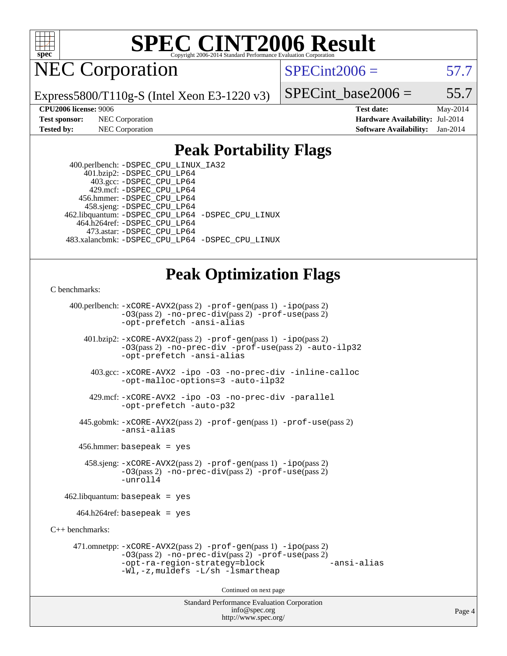

NEC Corporation

 $SPECint2006 = 57.7$  $SPECint2006 = 57.7$ 

Express5800/T110g-S (Intel Xeon E3-1220 v3)

SPECint base2006 =  $55.7$ 

**[CPU2006 license:](http://www.spec.org/auto/cpu2006/Docs/result-fields.html#CPU2006license)** 9006 **[Test date:](http://www.spec.org/auto/cpu2006/Docs/result-fields.html#Testdate)** May-2014 **[Test sponsor:](http://www.spec.org/auto/cpu2006/Docs/result-fields.html#Testsponsor)** NEC Corporation **[Hardware Availability:](http://www.spec.org/auto/cpu2006/Docs/result-fields.html#HardwareAvailability)** Jul-2014 **[Tested by:](http://www.spec.org/auto/cpu2006/Docs/result-fields.html#Testedby)** NEC Corporation **[Software Availability:](http://www.spec.org/auto/cpu2006/Docs/result-fields.html#SoftwareAvailability)** Jan-2014

#### **[Peak Portability Flags](http://www.spec.org/auto/cpu2006/Docs/result-fields.html#PeakPortabilityFlags)**

 400.perlbench: [-DSPEC\\_CPU\\_LINUX\\_IA32](http://www.spec.org/cpu2006/results/res2014q3/cpu2006-20140806-30786.flags.html#b400.perlbench_peakCPORTABILITY_DSPEC_CPU_LINUX_IA32) 401.bzip2: [-DSPEC\\_CPU\\_LP64](http://www.spec.org/cpu2006/results/res2014q3/cpu2006-20140806-30786.flags.html#suite_peakPORTABILITY401_bzip2_DSPEC_CPU_LP64) 403.gcc: [-DSPEC\\_CPU\\_LP64](http://www.spec.org/cpu2006/results/res2014q3/cpu2006-20140806-30786.flags.html#suite_peakPORTABILITY403_gcc_DSPEC_CPU_LP64) 429.mcf: [-DSPEC\\_CPU\\_LP64](http://www.spec.org/cpu2006/results/res2014q3/cpu2006-20140806-30786.flags.html#suite_peakPORTABILITY429_mcf_DSPEC_CPU_LP64) 456.hmmer: [-DSPEC\\_CPU\\_LP64](http://www.spec.org/cpu2006/results/res2014q3/cpu2006-20140806-30786.flags.html#suite_peakPORTABILITY456_hmmer_DSPEC_CPU_LP64) 458.sjeng: [-DSPEC\\_CPU\\_LP64](http://www.spec.org/cpu2006/results/res2014q3/cpu2006-20140806-30786.flags.html#suite_peakPORTABILITY458_sjeng_DSPEC_CPU_LP64) 462.libquantum: [-DSPEC\\_CPU\\_LP64](http://www.spec.org/cpu2006/results/res2014q3/cpu2006-20140806-30786.flags.html#suite_peakPORTABILITY462_libquantum_DSPEC_CPU_LP64) [-DSPEC\\_CPU\\_LINUX](http://www.spec.org/cpu2006/results/res2014q3/cpu2006-20140806-30786.flags.html#b462.libquantum_peakCPORTABILITY_DSPEC_CPU_LINUX) 464.h264ref: [-DSPEC\\_CPU\\_LP64](http://www.spec.org/cpu2006/results/res2014q3/cpu2006-20140806-30786.flags.html#suite_peakPORTABILITY464_h264ref_DSPEC_CPU_LP64) 473.astar: [-DSPEC\\_CPU\\_LP64](http://www.spec.org/cpu2006/results/res2014q3/cpu2006-20140806-30786.flags.html#suite_peakPORTABILITY473_astar_DSPEC_CPU_LP64) 483.xalancbmk: [-DSPEC\\_CPU\\_LP64](http://www.spec.org/cpu2006/results/res2014q3/cpu2006-20140806-30786.flags.html#suite_peakPORTABILITY483_xalancbmk_DSPEC_CPU_LP64) [-DSPEC\\_CPU\\_LINUX](http://www.spec.org/cpu2006/results/res2014q3/cpu2006-20140806-30786.flags.html#b483.xalancbmk_peakCXXPORTABILITY_DSPEC_CPU_LINUX)

#### **[Peak Optimization Flags](http://www.spec.org/auto/cpu2006/Docs/result-fields.html#PeakOptimizationFlags)**

#### [C benchmarks](http://www.spec.org/auto/cpu2006/Docs/result-fields.html#Cbenchmarks):

Standard Performance Evaluation Corporation 400.perlbench: [-xCORE-AVX2](http://www.spec.org/cpu2006/results/res2014q3/cpu2006-20140806-30786.flags.html#user_peakPASS2_CFLAGSPASS2_LDCFLAGS400_perlbench_f-xAVX2_5f5fc0cbe2c9f62c816d3e45806c70d7)(pass 2) [-prof-gen](http://www.spec.org/cpu2006/results/res2014q3/cpu2006-20140806-30786.flags.html#user_peakPASS1_CFLAGSPASS1_LDCFLAGS400_perlbench_prof_gen_e43856698f6ca7b7e442dfd80e94a8fc)(pass 1) [-ipo](http://www.spec.org/cpu2006/results/res2014q3/cpu2006-20140806-30786.flags.html#user_peakPASS2_CFLAGSPASS2_LDCFLAGS400_perlbench_f-ipo)(pass 2) [-O3](http://www.spec.org/cpu2006/results/res2014q3/cpu2006-20140806-30786.flags.html#user_peakPASS2_CFLAGSPASS2_LDCFLAGS400_perlbench_f-O3)(pass 2) [-no-prec-div](http://www.spec.org/cpu2006/results/res2014q3/cpu2006-20140806-30786.flags.html#user_peakPASS2_CFLAGSPASS2_LDCFLAGS400_perlbench_f-no-prec-div)(pass 2) [-prof-use](http://www.spec.org/cpu2006/results/res2014q3/cpu2006-20140806-30786.flags.html#user_peakPASS2_CFLAGSPASS2_LDCFLAGS400_perlbench_prof_use_bccf7792157ff70d64e32fe3e1250b55)(pass 2) [-opt-prefetch](http://www.spec.org/cpu2006/results/res2014q3/cpu2006-20140806-30786.flags.html#user_peakCOPTIMIZE400_perlbench_f-opt-prefetch) [-ansi-alias](http://www.spec.org/cpu2006/results/res2014q3/cpu2006-20140806-30786.flags.html#user_peakCOPTIMIZE400_perlbench_f-ansi-alias) 401.bzip2: [-xCORE-AVX2](http://www.spec.org/cpu2006/results/res2014q3/cpu2006-20140806-30786.flags.html#user_peakPASS2_CFLAGSPASS2_LDCFLAGS401_bzip2_f-xAVX2_5f5fc0cbe2c9f62c816d3e45806c70d7)(pass 2) [-prof-gen](http://www.spec.org/cpu2006/results/res2014q3/cpu2006-20140806-30786.flags.html#user_peakPASS1_CFLAGSPASS1_LDCFLAGS401_bzip2_prof_gen_e43856698f6ca7b7e442dfd80e94a8fc)(pass 1) [-ipo](http://www.spec.org/cpu2006/results/res2014q3/cpu2006-20140806-30786.flags.html#user_peakPASS2_CFLAGSPASS2_LDCFLAGS401_bzip2_f-ipo)(pass 2) [-O3](http://www.spec.org/cpu2006/results/res2014q3/cpu2006-20140806-30786.flags.html#user_peakPASS2_CFLAGSPASS2_LDCFLAGS401_bzip2_f-O3)(pass 2) [-no-prec-div](http://www.spec.org/cpu2006/results/res2014q3/cpu2006-20140806-30786.flags.html#user_peakCOPTIMIZEPASS2_CFLAGSPASS2_LDCFLAGS401_bzip2_f-no-prec-div) [-prof-use](http://www.spec.org/cpu2006/results/res2014q3/cpu2006-20140806-30786.flags.html#user_peakPASS2_CFLAGSPASS2_LDCFLAGS401_bzip2_prof_use_bccf7792157ff70d64e32fe3e1250b55)(pass 2) [-auto-ilp32](http://www.spec.org/cpu2006/results/res2014q3/cpu2006-20140806-30786.flags.html#user_peakCOPTIMIZE401_bzip2_f-auto-ilp32) [-opt-prefetch](http://www.spec.org/cpu2006/results/res2014q3/cpu2006-20140806-30786.flags.html#user_peakCOPTIMIZE401_bzip2_f-opt-prefetch) [-ansi-alias](http://www.spec.org/cpu2006/results/res2014q3/cpu2006-20140806-30786.flags.html#user_peakCOPTIMIZE401_bzip2_f-ansi-alias) 403.gcc: [-xCORE-AVX2](http://www.spec.org/cpu2006/results/res2014q3/cpu2006-20140806-30786.flags.html#user_peakCOPTIMIZE403_gcc_f-xAVX2_5f5fc0cbe2c9f62c816d3e45806c70d7) [-ipo](http://www.spec.org/cpu2006/results/res2014q3/cpu2006-20140806-30786.flags.html#user_peakCOPTIMIZE403_gcc_f-ipo) [-O3](http://www.spec.org/cpu2006/results/res2014q3/cpu2006-20140806-30786.flags.html#user_peakCOPTIMIZE403_gcc_f-O3) [-no-prec-div](http://www.spec.org/cpu2006/results/res2014q3/cpu2006-20140806-30786.flags.html#user_peakCOPTIMIZE403_gcc_f-no-prec-div) [-inline-calloc](http://www.spec.org/cpu2006/results/res2014q3/cpu2006-20140806-30786.flags.html#user_peakCOPTIMIZE403_gcc_f-inline-calloc) [-opt-malloc-options=3](http://www.spec.org/cpu2006/results/res2014q3/cpu2006-20140806-30786.flags.html#user_peakCOPTIMIZE403_gcc_f-opt-malloc-options_13ab9b803cf986b4ee62f0a5998c2238) [-auto-ilp32](http://www.spec.org/cpu2006/results/res2014q3/cpu2006-20140806-30786.flags.html#user_peakCOPTIMIZE403_gcc_f-auto-ilp32) 429.mcf: [-xCORE-AVX2](http://www.spec.org/cpu2006/results/res2014q3/cpu2006-20140806-30786.flags.html#user_peakCOPTIMIZE429_mcf_f-xAVX2_5f5fc0cbe2c9f62c816d3e45806c70d7) [-ipo](http://www.spec.org/cpu2006/results/res2014q3/cpu2006-20140806-30786.flags.html#user_peakCOPTIMIZE429_mcf_f-ipo) [-O3](http://www.spec.org/cpu2006/results/res2014q3/cpu2006-20140806-30786.flags.html#user_peakCOPTIMIZE429_mcf_f-O3) [-no-prec-div](http://www.spec.org/cpu2006/results/res2014q3/cpu2006-20140806-30786.flags.html#user_peakCOPTIMIZE429_mcf_f-no-prec-div) [-parallel](http://www.spec.org/cpu2006/results/res2014q3/cpu2006-20140806-30786.flags.html#user_peakCOPTIMIZE429_mcf_f-parallel) [-opt-prefetch](http://www.spec.org/cpu2006/results/res2014q3/cpu2006-20140806-30786.flags.html#user_peakCOPTIMIZE429_mcf_f-opt-prefetch) [-auto-p32](http://www.spec.org/cpu2006/results/res2014q3/cpu2006-20140806-30786.flags.html#user_peakCOPTIMIZE429_mcf_f-auto-p32) 445.gobmk: [-xCORE-AVX2](http://www.spec.org/cpu2006/results/res2014q3/cpu2006-20140806-30786.flags.html#user_peakPASS2_CFLAGSPASS2_LDCFLAGS445_gobmk_f-xAVX2_5f5fc0cbe2c9f62c816d3e45806c70d7)(pass 2) [-prof-gen](http://www.spec.org/cpu2006/results/res2014q3/cpu2006-20140806-30786.flags.html#user_peakPASS1_CFLAGSPASS1_LDCFLAGS445_gobmk_prof_gen_e43856698f6ca7b7e442dfd80e94a8fc)(pass 1) [-prof-use](http://www.spec.org/cpu2006/results/res2014q3/cpu2006-20140806-30786.flags.html#user_peakPASS2_CFLAGSPASS2_LDCFLAGS445_gobmk_prof_use_bccf7792157ff70d64e32fe3e1250b55)(pass 2) [-ansi-alias](http://www.spec.org/cpu2006/results/res2014q3/cpu2006-20140806-30786.flags.html#user_peakCOPTIMIZE445_gobmk_f-ansi-alias) 456.hmmer: basepeak = yes 458.sjeng: [-xCORE-AVX2](http://www.spec.org/cpu2006/results/res2014q3/cpu2006-20140806-30786.flags.html#user_peakPASS2_CFLAGSPASS2_LDCFLAGS458_sjeng_f-xAVX2_5f5fc0cbe2c9f62c816d3e45806c70d7)(pass 2) [-prof-gen](http://www.spec.org/cpu2006/results/res2014q3/cpu2006-20140806-30786.flags.html#user_peakPASS1_CFLAGSPASS1_LDCFLAGS458_sjeng_prof_gen_e43856698f6ca7b7e442dfd80e94a8fc)(pass 1) [-ipo](http://www.spec.org/cpu2006/results/res2014q3/cpu2006-20140806-30786.flags.html#user_peakPASS2_CFLAGSPASS2_LDCFLAGS458_sjeng_f-ipo)(pass 2) [-O3](http://www.spec.org/cpu2006/results/res2014q3/cpu2006-20140806-30786.flags.html#user_peakPASS2_CFLAGSPASS2_LDCFLAGS458_sjeng_f-O3)(pass 2) [-no-prec-div](http://www.spec.org/cpu2006/results/res2014q3/cpu2006-20140806-30786.flags.html#user_peakPASS2_CFLAGSPASS2_LDCFLAGS458_sjeng_f-no-prec-div)(pass 2) [-prof-use](http://www.spec.org/cpu2006/results/res2014q3/cpu2006-20140806-30786.flags.html#user_peakPASS2_CFLAGSPASS2_LDCFLAGS458_sjeng_prof_use_bccf7792157ff70d64e32fe3e1250b55)(pass 2) [-unroll4](http://www.spec.org/cpu2006/results/res2014q3/cpu2006-20140806-30786.flags.html#user_peakCOPTIMIZE458_sjeng_f-unroll_4e5e4ed65b7fd20bdcd365bec371b81f) 462.libquantum: basepeak = yes  $464.h264$ ref: basepeak = yes [C++ benchmarks:](http://www.spec.org/auto/cpu2006/Docs/result-fields.html#CXXbenchmarks) 471.omnetpp: [-xCORE-AVX2](http://www.spec.org/cpu2006/results/res2014q3/cpu2006-20140806-30786.flags.html#user_peakPASS2_CXXFLAGSPASS2_LDCXXFLAGS471_omnetpp_f-xAVX2_5f5fc0cbe2c9f62c816d3e45806c70d7)(pass 2) [-prof-gen](http://www.spec.org/cpu2006/results/res2014q3/cpu2006-20140806-30786.flags.html#user_peakPASS1_CXXFLAGSPASS1_LDCXXFLAGS471_omnetpp_prof_gen_e43856698f6ca7b7e442dfd80e94a8fc)(pass 1) [-ipo](http://www.spec.org/cpu2006/results/res2014q3/cpu2006-20140806-30786.flags.html#user_peakPASS2_CXXFLAGSPASS2_LDCXXFLAGS471_omnetpp_f-ipo)(pass 2) [-O3](http://www.spec.org/cpu2006/results/res2014q3/cpu2006-20140806-30786.flags.html#user_peakPASS2_CXXFLAGSPASS2_LDCXXFLAGS471_omnetpp_f-O3)(pass 2) [-no-prec-div](http://www.spec.org/cpu2006/results/res2014q3/cpu2006-20140806-30786.flags.html#user_peakPASS2_CXXFLAGSPASS2_LDCXXFLAGS471_omnetpp_f-no-prec-div)(pass 2) [-prof-use](http://www.spec.org/cpu2006/results/res2014q3/cpu2006-20140806-30786.flags.html#user_peakPASS2_CXXFLAGSPASS2_LDCXXFLAGS471_omnetpp_prof_use_bccf7792157ff70d64e32fe3e1250b55)(pass 2) [-opt-ra-region-strategy=block](http://www.spec.org/cpu2006/results/res2014q3/cpu2006-20140806-30786.flags.html#user_peakCXXOPTIMIZE471_omnetpp_f-opt-ra-region-strategy_5382940c29ea30302d682fc74bfe0147) [-ansi-alias](http://www.spec.org/cpu2006/results/res2014q3/cpu2006-20140806-30786.flags.html#user_peakCXXOPTIMIZE471_omnetpp_f-ansi-alias) [-Wl,-z,muldefs](http://www.spec.org/cpu2006/results/res2014q3/cpu2006-20140806-30786.flags.html#user_peakEXTRA_LDFLAGS471_omnetpp_link_force_multiple1_74079c344b956b9658436fd1b6dd3a8a) [-L/sh -lsmartheap](http://www.spec.org/cpu2006/results/res2014q3/cpu2006-20140806-30786.flags.html#user_peakEXTRA_LIBS471_omnetpp_SmartHeap_32f6c82aa1ed9c52345d30cf6e4a0499) Continued on next page

[info@spec.org](mailto:info@spec.org) <http://www.spec.org/>